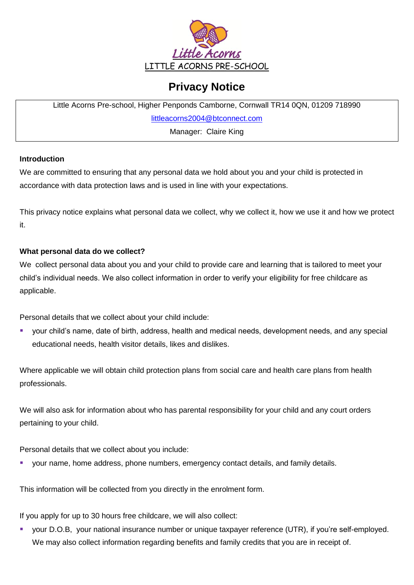

# **Privacy Notice**

Little Acorns Pre-school, Higher Penponds Camborne, Cornwall TR14 0QN, 01209 718990 [littleacorns2004@btconnect.com](mailto:littleacorns2004@btconnect.com)

Manager: Claire King

## **Introduction**

We are committed to ensuring that any personal data we hold about you and your child is protected in accordance with data protection laws and is used in line with your expectations.

This privacy notice explains what personal data we collect, why we collect it, how we use it and how we protect it.

## **What personal data do we collect?**

We collect personal data about you and your child to provide care and learning that is tailored to meet your child's individual needs. We also collect information in order to verify your eligibility for free childcare as applicable.

Personal details that we collect about your child include:

 your child's name, date of birth, address, health and medical needs, development needs, and any special educational needs, health visitor details, likes and dislikes.

Where applicable we will obtain child protection plans from social care and health care plans from health professionals.

We will also ask for information about who has parental responsibility for your child and any court orders pertaining to your child.

Personal details that we collect about you include:

your name, home address, phone numbers, emergency contact details, and family details.

This information will be collected from you directly in the enrolment form.

If you apply for up to 30 hours free childcare, we will also collect:

 your D.O.B, your national insurance number or unique taxpayer reference (UTR), if you're self-employed. We may also collect information regarding benefits and family credits that you are in receipt of.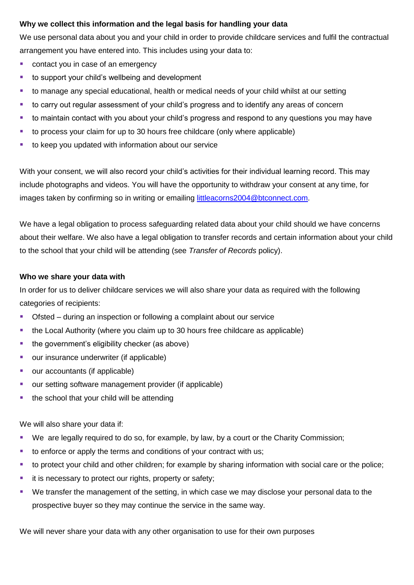## **Why we collect this information and the legal basis for handling your data**

We use personal data about you and your child in order to provide childcare services and fulfil the contractual arrangement you have entered into. This includes using your data to:

- contact you in case of an emergency
- to support your child's wellbeing and development
- to manage any special educational, health or medical needs of your child whilst at our setting
- to carry out regular assessment of your child's progress and to identify any areas of concern
- to maintain contact with you about your child's progress and respond to any questions you may have
- to process your claim for up to 30 hours free childcare (only where applicable)
- **to keep you updated with information about our service**

With your consent, we will also record your child's activities for their individual learning record. This may include photographs and videos. You will have the opportunity to withdraw your consent at any time, for images taken by confirming so in writing or emailing [littleacorns2004@btconnect.com.](mailto:littleacorns2004@btconnect.com)

We have a legal obligation to process safeguarding related data about your child should we have concerns about their welfare. We also have a legal obligation to transfer records and certain information about your child to the school that your child will be attending (see *Transfer of Records* policy).

#### **Who we share your data with**

In order for us to deliver childcare services we will also share your data as required with the following categories of recipients:

- Ofsted during an inspection or following a complaint about our service
- the Local Authority (where you claim up to 30 hours free childcare as applicable)
- the government's eligibility checker (as above)
- our insurance underwriter (if applicable)
- our accountants (if applicable)
- **our setting software management provider (if applicable)**
- $\blacksquare$  the school that your child will be attending

We will also share your data if:

- We are legally required to do so, for example, by law, by a court or the Charity Commission;
- to enforce or apply the terms and conditions of your contract with us;
- to protect your child and other children; for example by sharing information with social care or the police;
- **it is necessary to protect our rights, property or safety;**
- We transfer the management of the setting, in which case we may disclose your personal data to the prospective buyer so they may continue the service in the same way.

We will never share your data with any other organisation to use for their own purposes